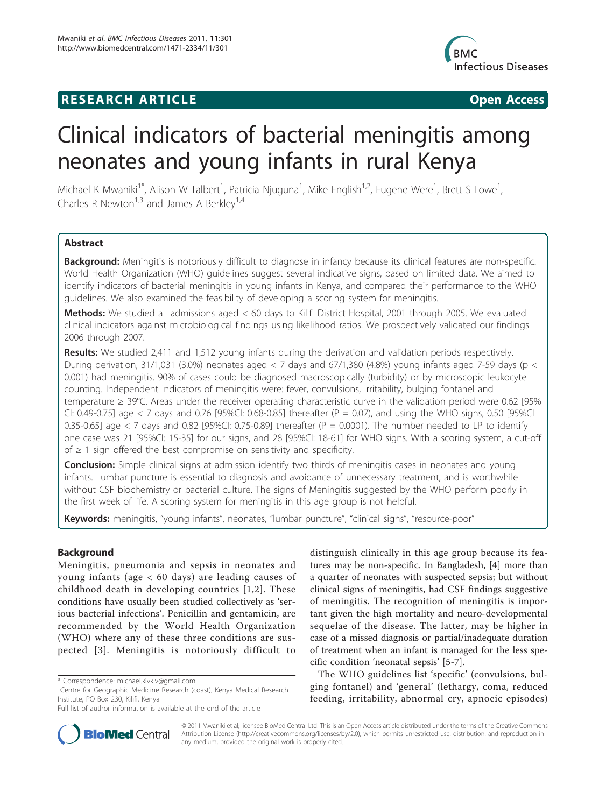# **RESEARCH ARTICLE Example 20 and 20 and 20 and 20 and 20 and 20 and 20 and 20 and 20 and 20 and 20 and 20 and 20 and 20 and 20 and 20 and 20 and 20 and 20 and 20 and 20 and 20 and 20 and 20 and 20 and 20 and 20 and 20 an**



# Clinical indicators of bacterial meningitis among neonates and young infants in rural Kenya

Michael K Mwaniki<sup>1\*</sup>, Alison W Talbert<sup>1</sup>, Patricia Njuguna<sup>1</sup>, Mike English<sup>1,2</sup>, Eugene Were<sup>1</sup>, Brett S Lowe<sup>1</sup> , Charles R Newton<sup>1,3</sup> and James A Berkley<sup>1,4</sup>

# Abstract

Background: Meningitis is notoriously difficult to diagnose in infancy because its clinical features are non-specific. World Health Organization (WHO) guidelines suggest several indicative signs, based on limited data. We aimed to identify indicators of bacterial meningitis in young infants in Kenya, and compared their performance to the WHO guidelines. We also examined the feasibility of developing a scoring system for meningitis.

Methods: We studied all admissions aged < 60 days to Kilifi District Hospital, 2001 through 2005. We evaluated clinical indicators against microbiological findings using likelihood ratios. We prospectively validated our findings 2006 through 2007.

Results: We studied 2,411 and 1,512 young infants during the derivation and validation periods respectively. During derivation, 31/1,031 (3.0%) neonates aged  $<$  7 days and 67/1,380 (4.8%) young infants aged 7-59 days (p  $<$ 0.001) had meningitis. 90% of cases could be diagnosed macroscopically (turbidity) or by microscopic leukocyte counting. Independent indicators of meningitis were: fever, convulsions, irritability, bulging fontanel and temperature ≥ 39°C. Areas under the receiver operating characteristic curve in the validation period were 0.62 [95% CI: 0.49-0.75] age < 7 days and 0.76 [95%CI: 0.68-0.85] thereafter (P = 0.07), and using the WHO signs, 0.50 [95%CI 0.35-0.65] age  $<$  7 days and 0.82 [95%CI: 0.75-0.89] thereafter (P = 0.0001). The number needed to LP to identify one case was 21 [95%CI: 15-35] for our signs, and 28 [95%CI: 18-61] for WHO signs. With a scoring system, a cut-off of  $\geq$  1 sign offered the best compromise on sensitivity and specificity.

**Conclusion:** Simple clinical signs at admission identify two thirds of meningitis cases in neonates and young infants. Lumbar puncture is essential to diagnosis and avoidance of unnecessary treatment, and is worthwhile without CSF biochemistry or bacterial culture. The signs of Meningitis suggested by the WHO perform poorly in the first week of life. A scoring system for meningitis in this age group is not helpful.

Keywords: meningitis, "young infants", neonates, "lumbar puncture", "clinical signs", "resource-poor"

## Background

Meningitis, pneumonia and sepsis in neonates and young infants (age < 60 days) are leading causes of childhood death in developing countries [\[1,2](#page-8-0)]. These conditions have usually been studied collectively as 'serious bacterial infections'. Penicillin and gentamicin, are recommended by the World Health Organization (WHO) where any of these three conditions are suspected [[3\]](#page-8-0). Meningitis is notoriously difficult to

distinguish clinically in this age group because its features may be non-specific. In Bangladesh, [\[4\]](#page-8-0) more than a quarter of neonates with suspected sepsis; but without clinical signs of meningitis, had CSF findings suggestive of meningitis. The recognition of meningitis is important given the high mortality and neuro-developmental sequelae of the disease. The latter, may be higher in case of a missed diagnosis or partial/inadequate duration of treatment when an infant is managed for the less specific condition 'neonatal sepsis' [\[5](#page-8-0)-[7\]](#page-9-0).

The WHO guidelines list 'specific' (convulsions, bulging fontanel) and 'general' (lethargy, coma, reduced feeding, irritability, abnormal cry, apnoeic episodes)



© 2011 Mwaniki et al; licensee BioMed Central Ltd. This is an Open Access article distributed under the terms of the Creative Commons Attribution License [\(http://creativecommons.org/licenses/by/2.0](http://creativecommons.org/licenses/by/2.0)), which permits unrestricted use, distribution, and reproduction in any medium, provided the original work is properly cited.

<sup>\*</sup> Correspondence: [michael.kivkiv@gmail.com](mailto:michael.kivkiv@gmail.com)

<sup>&</sup>lt;sup>1</sup>Centre for Geographic Medicine Research (coast), Kenya Medical Research Institute, PO Box 230, Kilifi, Kenya

Full list of author information is available at the end of the article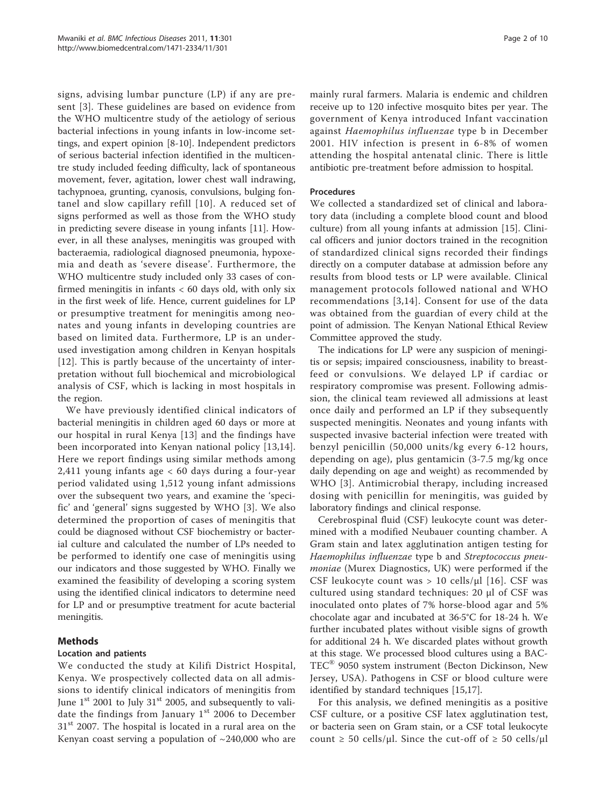signs, advising lumbar puncture (LP) if any are present [\[3](#page-8-0)]. These guidelines are based on evidence from the WHO multicentre study of the aetiology of serious bacterial infections in young infants in low-income settings, and expert opinion [\[8](#page-9-0)-[10\]](#page-9-0). Independent predictors of serious bacterial infection identified in the multicentre study included feeding difficulty, lack of spontaneous movement, fever, agitation, lower chest wall indrawing, tachypnoea, grunting, cyanosis, convulsions, bulging fontanel and slow capillary refill [\[10](#page-9-0)]. A reduced set of signs performed as well as those from the WHO study in predicting severe disease in young infants [[11\]](#page-9-0). However, in all these analyses, meningitis was grouped with bacteraemia, radiological diagnosed pneumonia, hypoxemia and death as 'severe disease'. Furthermore, the WHO multicentre study included only 33 cases of confirmed meningitis in infants  $< 60$  days old, with only six in the first week of life. Hence, current guidelines for LP or presumptive treatment for meningitis among neonates and young infants in developing countries are based on limited data. Furthermore, LP is an underused investigation among children in Kenyan hospitals [[12](#page-9-0)]. This is partly because of the uncertainty of interpretation without full biochemical and microbiological analysis of CSF, which is lacking in most hospitals in the region.

We have previously identified clinical indicators of bacterial meningitis in children aged 60 days or more at our hospital in rural Kenya [[13](#page-9-0)] and the findings have been incorporated into Kenyan national policy [[13,14\]](#page-9-0). Here we report findings using similar methods among 2,411 young infants age < 60 days during a four-year period validated using 1,512 young infant admissions over the subsequent two years, and examine the 'specific' and 'general' signs suggested by WHO [\[3](#page-8-0)]. We also determined the proportion of cases of meningitis that could be diagnosed without CSF biochemistry or bacterial culture and calculated the number of LPs needed to be performed to identify one case of meningitis using our indicators and those suggested by WHO. Finally we examined the feasibility of developing a scoring system using the identified clinical indicators to determine need for LP and or presumptive treatment for acute bacterial meningitis.

# Methods

# Location and patients

We conducted the study at Kilifi District Hospital, Kenya. We prospectively collected data on all admissions to identify clinical indicators of meningitis from June  $1<sup>st</sup>$  2001 to July 31 $<sup>st</sup>$  2005, and subsequently to vali-</sup> date the findings from January  $1<sup>st</sup>$  2006 to December  $31<sup>st</sup>$  2007. The hospital is located in a rural area on the Kenyan coast serving a population of  $\sim$ 240,000 who are mainly rural farmers. Malaria is endemic and children receive up to 120 infective mosquito bites per year. The government of Kenya introduced Infant vaccination against Haemophilus influenzae type b in December 2001. HIV infection is present in 6-8% of women attending the hospital antenatal clinic. There is little antibiotic pre-treatment before admission to hospital.

# Procedures

We collected a standardized set of clinical and laboratory data (including a complete blood count and blood culture) from all young infants at admission [\[15](#page-9-0)]. Clinical officers and junior doctors trained in the recognition of standardized clinical signs recorded their findings directly on a computer database at admission before any results from blood tests or LP were available. Clinical management protocols followed national and WHO recommendations [[3,](#page-8-0)[14\]](#page-9-0). Consent for use of the data was obtained from the guardian of every child at the point of admission. The Kenyan National Ethical Review Committee approved the study.

The indications for LP were any suspicion of meningitis or sepsis; impaired consciousness, inability to breastfeed or convulsions. We delayed LP if cardiac or respiratory compromise was present. Following admission, the clinical team reviewed all admissions at least once daily and performed an LP if they subsequently suspected meningitis. Neonates and young infants with suspected invasive bacterial infection were treated with benzyl penicillin (50,000 units/kg every 6-12 hours, depending on age), plus gentamicin (3-7.5 mg/kg once daily depending on age and weight) as recommended by WHO [[3\]](#page-8-0). Antimicrobial therapy, including increased dosing with penicillin for meningitis, was guided by laboratory findings and clinical response.

Cerebrospinal fluid (CSF) leukocyte count was determined with a modified Neubauer counting chamber. A Gram stain and latex agglutination antigen testing for Haemophilus influenzae type b and Streptococcus pneumoniae (Murex Diagnostics, UK) were performed if the CSF leukocyte count was  $> 10$  cells/ $\mu$ l [[16](#page-9-0)]. CSF was cultured using standard techniques: 20 μl of CSF was inoculated onto plates of 7% horse-blood agar and 5% chocolate agar and incubated at 36·5°C for 18-24 h. We further incubated plates without visible signs of growth for additional 24 h. We discarded plates without growth at this stage. We processed blood cultures using a BAC-TEC® 9050 system instrument (Becton Dickinson, New Jersey, USA). Pathogens in CSF or blood culture were identified by standard techniques [\[15,17\]](#page-9-0).

For this analysis, we defined meningitis as a positive CSF culture, or a positive CSF latex agglutination test, or bacteria seen on Gram stain, or a CSF total leukocyte count  $\geq$  50 cells/ $\mu$ l. Since the cut-off of  $\geq$  50 cells/ $\mu$ l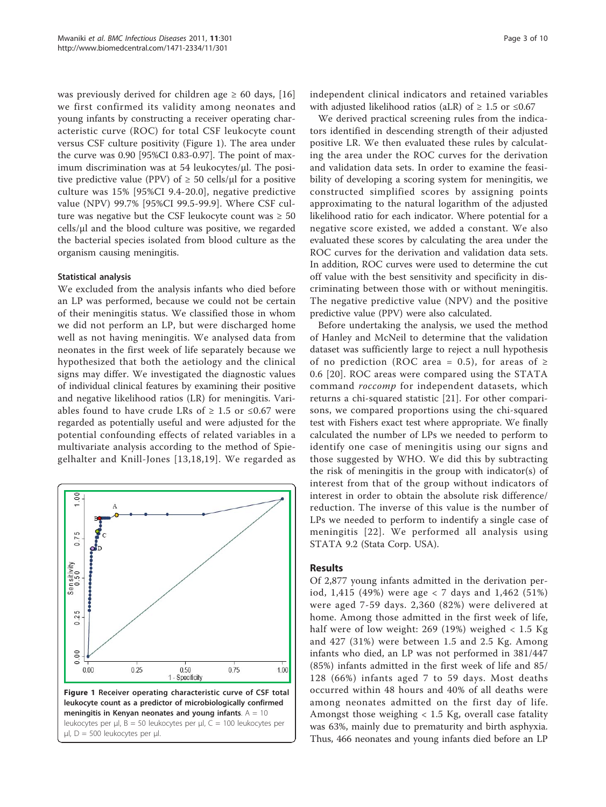was previously derived for children age  $\geq 60$  days, [\[16](#page-9-0)] we first confirmed its validity among neonates and young infants by constructing a receiver operating characteristic curve (ROC) for total CSF leukocyte count versus CSF culture positivity (Figure 1). The area under the curve was 0.90 [95%CI 0.83-0.97]. The point of maximum discrimination was at 54 leukocytes/μl. The positive predictive value (PPV) of  $\geq$  50 cells/µl for a positive culture was 15% [95%CI 9.4-20.0], negative predictive value (NPV) 99.7% [95%CI 99.5-99.9]. Where CSF culture was negative but the CSF leukocyte count was  $\geq 50$ cells/μl and the blood culture was positive, we regarded the bacterial species isolated from blood culture as the organism causing meningitis.

#### Statistical analysis

We excluded from the analysis infants who died before an LP was performed, because we could not be certain of their meningitis status. We classified those in whom we did not perform an LP, but were discharged home well as not having meningitis. We analysed data from neonates in the first week of life separately because we hypothesized that both the aetiology and the clinical signs may differ. We investigated the diagnostic values of individual clinical features by examining their positive and negative likelihood ratios (LR) for meningitis. Variables found to have crude LRs of ≥ 1.5 or ≤0.67 were regarded as potentially useful and were adjusted for the potential confounding effects of related variables in a multivariate analysis according to the method of Spiegelhalter and Knill-Jones [[13](#page-9-0),[18](#page-9-0),[19](#page-9-0)]. We regarded as



independent clinical indicators and retained variables with adjusted likelihood ratios (aLR) of  $\geq 1.5$  or  $\leq 0.67$ 

We derived practical screening rules from the indicators identified in descending strength of their adjusted positive LR. We then evaluated these rules by calculating the area under the ROC curves for the derivation and validation data sets. In order to examine the feasibility of developing a scoring system for meningitis, we constructed simplified scores by assigning points approximating to the natural logarithm of the adjusted likelihood ratio for each indicator. Where potential for a negative score existed, we added a constant. We also evaluated these scores by calculating the area under the ROC curves for the derivation and validation data sets. In addition, ROC curves were used to determine the cut off value with the best sensitivity and specificity in discriminating between those with or without meningitis. The negative predictive value (NPV) and the positive predictive value (PPV) were also calculated.

Before undertaking the analysis, we used the method of Hanley and McNeil to determine that the validation dataset was sufficiently large to reject a null hypothesis of no prediction (ROC area = 0.5), for areas of  $\ge$ 0.6 [[20](#page-9-0)]. ROC areas were compared using the STATA command roccomp for independent datasets, which returns a chi-squared statistic [[21](#page-9-0)]. For other comparisons, we compared proportions using the chi-squared test with Fishers exact test where appropriate. We finally calculated the number of LPs we needed to perform to identify one case of meningitis using our signs and those suggested by WHO. We did this by subtracting the risk of meningitis in the group with indicator(s) of interest from that of the group without indicators of interest in order to obtain the absolute risk difference/ reduction. The inverse of this value is the number of LPs we needed to perform to indentify a single case of meningitis [[22](#page-9-0)]. We performed all analysis using STATA 9.2 (Stata Corp. USA).

#### Results

Of 2,877 young infants admitted in the derivation period, 1,415 (49%) were age  $< 7$  days and 1,462 (51%) were aged 7-59 days. 2,360 (82%) were delivered at home. Among those admitted in the first week of life, half were of low weight: 269 (19%) weighed < 1.5 Kg and 427 (31%) were between 1.5 and 2.5 Kg. Among infants who died, an LP was not performed in 381/447 (85%) infants admitted in the first week of life and 85/ 128 (66%) infants aged 7 to 59 days. Most deaths occurred within 48 hours and 40% of all deaths were among neonates admitted on the first day of life. Amongst those weighing < 1.5 Kg, overall case fatality was 63%, mainly due to prematurity and birth asphyxia. Thus, 466 neonates and young infants died before an LP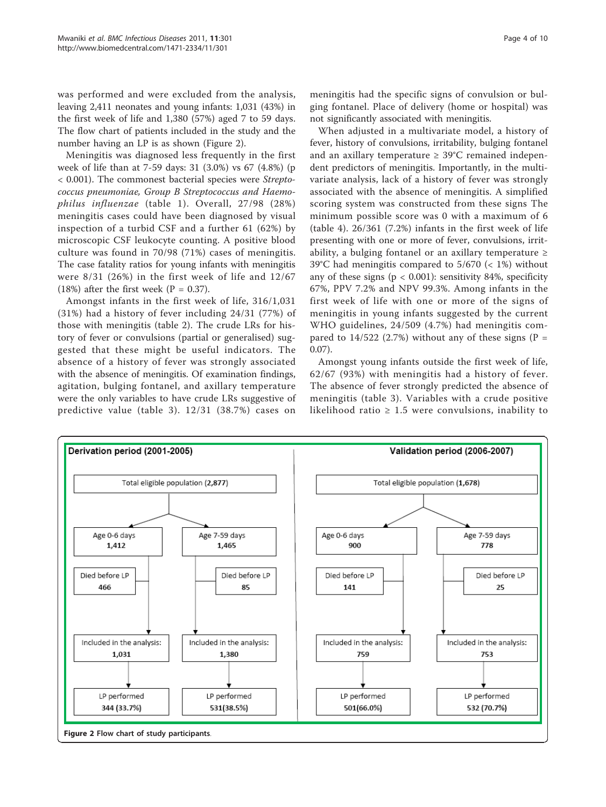was performed and were excluded from the analysis, leaving 2,411 neonates and young infants: 1,031 (43%) in the first week of life and 1,380 (57%) aged 7 to 59 days. The flow chart of patients included in the study and the number having an LP is as shown (Figure 2).

Meningitis was diagnosed less frequently in the first week of life than at 7-59 days: 31 (3.0%) vs 67 (4.8%) (p < 0.001). The commonest bacterial species were Streptococcus pneumoniae, Group B Streptococcus and Haemophilus influenzae (table [1\)](#page-4-0). Overall, 27/98 (28%) meningitis cases could have been diagnosed by visual inspection of a turbid CSF and a further 61 (62%) by microscopic CSF leukocyte counting. A positive blood culture was found in 70/98 (71%) cases of meningitis. The case fatality ratios for young infants with meningitis were 8/31 (26%) in the first week of life and 12/67 (18%) after the first week ( $P = 0.37$ ).

Amongst infants in the first week of life, 316/1,031 (31%) had a history of fever including 24/31 (77%) of those with meningitis (table [2\)](#page-5-0). The crude LRs for history of fever or convulsions (partial or generalised) suggested that these might be useful indicators. The absence of a history of fever was strongly associated with the absence of meningitis. Of examination findings, agitation, bulging fontanel, and axillary temperature were the only variables to have crude LRs suggestive of predictive value (table [3](#page-6-0)). 12/31 (38.7%) cases on

When adjusted in a multivariate model, a history of fever, history of convulsions, irritability, bulging fontanel and an axillary temperature  $\geq 39^{\circ}$ C remained independent predictors of meningitis. Importantly, in the multivariate analysis, lack of a history of fever was strongly associated with the absence of meningitis. A simplified scoring system was constructed from these signs The minimum possible score was 0 with a maximum of 6 (table [4](#page-7-0)). 26/361 (7.2%) infants in the first week of life presenting with one or more of fever, convulsions, irritability, a bulging fontanel or an axillary temperature  $\geq$ 39°C had meningitis compared to  $5/670$  (< 1%) without any of these signs ( $p < 0.001$ ): sensitivity 84%, specificity 67%, PPV 7.2% and NPV 99.3%. Among infants in the first week of life with one or more of the signs of meningitis in young infants suggested by the current WHO guidelines, 24/509 (4.7%) had meningitis compared to  $14/522$  (2.7%) without any of these signs (P = 0.07).

Amongst young infants outside the first week of life, 62/67 (93%) with meningitis had a history of fever. The absence of fever strongly predicted the absence of meningitis (table [3](#page-6-0)). Variables with a crude positive likelihood ratio  $\geq 1.5$  were convulsions, inability to

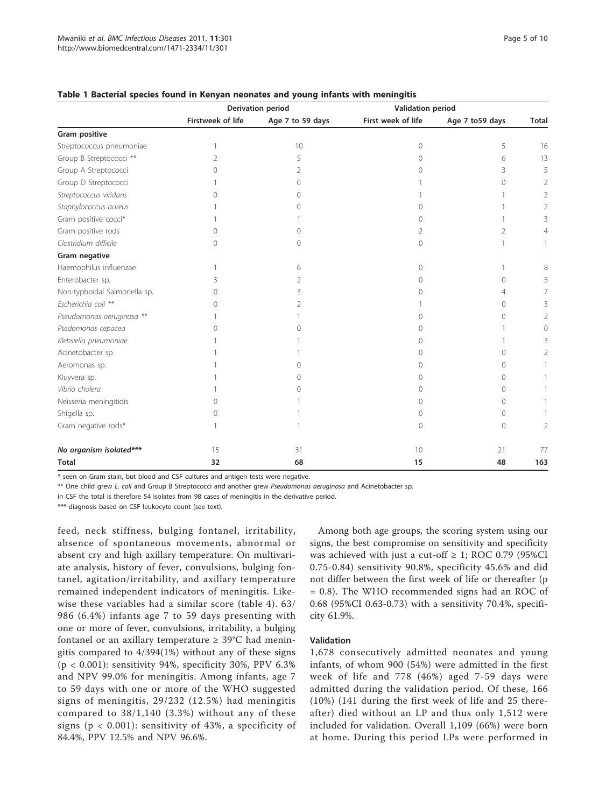|                              |                   | <b>Derivation period</b> | <b>Validation period</b> |                  |              |
|------------------------------|-------------------|--------------------------|--------------------------|------------------|--------------|
|                              | Firstweek of life | Age 7 to 59 days         | First week of life       | Age 7 to 59 days | <b>Total</b> |
| Gram positive                |                   |                          |                          |                  |              |
| Streptococcus pneumoniae     |                   | 10                       | $\Omega$                 | 5                | 16           |
| Group B Streptococci **      | 2                 | 5                        | 0                        | 6                | 13           |
| Group A Streptococci         |                   |                          | 0                        |                  | 5            |
| Group D Streptococci         |                   |                          |                          | Ω                |              |
| Streptococcus viridans       |                   |                          |                          |                  |              |
| Staphylococcus aureus        |                   |                          | 0                        |                  |              |
| Gram positive cocci*         |                   |                          | 0                        |                  |              |
| Gram positive rods           |                   |                          | 2                        | 2                |              |
| Clostridium difficile        | $\Omega$          | $\bigcap$                | $\Omega$                 |                  |              |
| Gram negative                |                   |                          |                          |                  |              |
| Haemophilus influenzae       |                   | 6                        | $\Omega$                 |                  | 8            |
| Enterobacter sp.             |                   |                          | 0                        | 0                |              |
| Non-typhoidal Salmonella sp. |                   | Β                        | 0                        |                  |              |
| Escherichia coli **          |                   |                          |                          | ∩                | ζ            |
| Pseudomonas aeruginosa **    |                   |                          | 0                        | Λ                |              |
| Psedomonas cepacea           |                   |                          | 0                        |                  |              |
| Klebsiella pneumoniae        |                   |                          | 0                        |                  |              |
| Acinetobacter sp.            |                   |                          | 0                        | 0                |              |
| Aeromonas sp.                |                   |                          | 0                        | ∩                |              |
| Kluyvera sp.                 |                   |                          | 0                        | ∩                |              |
| Vibrio cholera               |                   |                          | 0                        | Ω                |              |
| Neisseria meningitidis       |                   |                          | 0                        | 0                |              |
| Shigella sp.                 | Ω                 |                          | 0                        | $\bigcap$        |              |
| Gram negative rods*          |                   |                          | 0                        | $\Omega$         | 2            |
| No organism isolated***      | 15                | 31                       | 10                       | 21               | 77           |
| <b>Total</b>                 | 32                | 68                       | 15                       | 48               | 163          |

#### <span id="page-4-0"></span>Table 1 Bacterial species found in Kenyan neonates and young infants with meningitis

\* seen on Gram stain, but blood and CSF cultures and antigen tests were negative.

\*\* One child grew E. coli and Group B Streptococci and another grew Pseudomonas aeruginosa and Acinetobacter sp.

in CSF the total is therefore 54 isolates from 98 cases of meningitis in the derivative period.

\*\*\* diagnosis based on CSF leukocyte count (see text).

feed, neck stiffness, bulging fontanel, irritability, absence of spontaneous movements, abnormal or absent cry and high axillary temperature. On multivariate analysis, history of fever, convulsions, bulging fontanel, agitation/irritability, and axillary temperature remained independent indicators of meningitis. Likewise these variables had a similar score (table [4](#page-7-0)). 63/ 986 (6.4%) infants age 7 to 59 days presenting with one or more of fever, convulsions, irritability, a bulging fontanel or an axillary temperature  $\geq 39^{\circ}$ C had meningitis compared to 4/394(1%) without any of these signs ( $p < 0.001$ ): sensitivity 94%, specificity 30%, PPV 6.3% and NPV 99.0% for meningitis. Among infants, age 7 to 59 days with one or more of the WHO suggested signs of meningitis, 29/232 (12.5%) had meningitis compared to 38/1,140 (3.3%) without any of these signs ( $p < 0.001$ ): sensitivity of 43%, a specificity of 84.4%, PPV 12.5% and NPV 96.6%.

Among both age groups, the scoring system using our signs, the best compromise on sensitivity and specificity was achieved with just a cut-off  $\geq$  1; ROC 0.79 (95%CI 0.75-0.84) sensitivity 90.8%, specificity 45.6% and did not differ between the first week of life or thereafter (p = 0.8). The WHO recommended signs had an ROC of 0.68 (95%CI 0.63-0.73) with a sensitivity 70.4%, specificity 61.9%.

#### Validation

1,678 consecutively admitted neonates and young infants, of whom 900 (54%) were admitted in the first week of life and 778 (46%) aged 7-59 days were admitted during the validation period. Of these, 166 (10%) (141 during the first week of life and 25 thereafter) died without an LP and thus only 1,512 were included for validation. Overall 1,109 (66%) were born at home. During this period LPs were performed in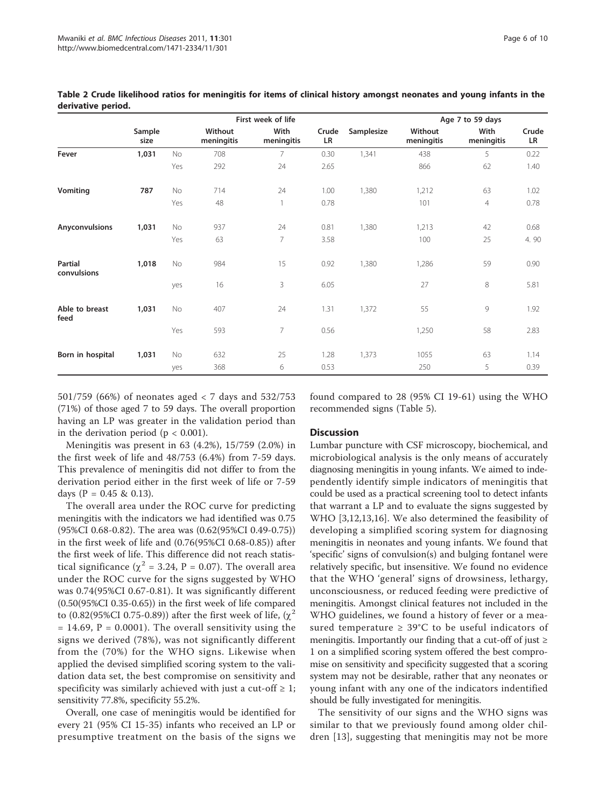|                               |                | First week of life |                       |                    |                    |            | Age 7 to 59 days      |                    |             |  |
|-------------------------------|----------------|--------------------|-----------------------|--------------------|--------------------|------------|-----------------------|--------------------|-------------|--|
|                               | Sample<br>size |                    | Without<br>meningitis | With<br>meningitis | Crude<br><b>LR</b> | Samplesize | Without<br>meningitis | With<br>meningitis | Crude<br>LR |  |
| Fever                         | 1,031          | No                 | 708                   | 7                  | 0.30               | 1,341      | 438                   | 5                  | 0.22        |  |
|                               |                | Yes                | 292                   | 24                 | 2.65               |            | 866                   | 62                 | 1.40        |  |
| Vomiting                      | 787            | No                 | 714                   | 24                 | 1.00               | 1,380      | 1,212                 | 63                 | 1.02        |  |
|                               |                | Yes                | 48                    | 1                  | 0.78               |            | 101                   | $\overline{4}$     | 0.78        |  |
| Anyconvulsions                | 1,031          | No                 | 937                   | 24                 | 0.81               | 1,380      | 1,213                 | 42                 | 0.68        |  |
|                               |                | Yes                | 63                    | 7                  | 3.58               |            | 100                   | 25                 | 4.90        |  |
| <b>Partial</b><br>convulsions | 1,018          | No                 | 984                   | 15                 | 0.92               | 1,380      | 1,286                 | 59                 | 0.90        |  |
|                               |                | yes                | 16                    | 3                  | 6.05               |            | 27                    | 8                  | 5.81        |  |
| Able to breast<br>feed        | 1,031          | No                 | 407                   | 24                 | 1.31               | 1,372      | 55                    | 9                  | 1.92        |  |
|                               |                | Yes                | 593                   | 7                  | 0.56               |            | 1,250                 | 58                 | 2.83        |  |
| Born in hospital              | 1,031          | No                 | 632                   | 25                 | 1.28               | 1,373      | 1055                  | 63                 | 1.14        |  |
|                               |                | yes                | 368                   | 6                  | 0.53               |            | 250                   | 5                  | 0.39        |  |

<span id="page-5-0"></span>Table 2 Crude likelihood ratios for meningitis for items of clinical history amongst neonates and young infants in the derivative period.

501/759 (66%) of neonates aged < 7 days and 532/753 (71%) of those aged 7 to 59 days. The overall proportion having an LP was greater in the validation period than in the derivation period ( $p < 0.001$ ).

Meningitis was present in 63 (4.2%), 15/759 (2.0%) in the first week of life and 48/753 (6.4%) from 7-59 days. This prevalence of meningitis did not differ to from the derivation period either in the first week of life or 7-59 days ( $P = 0.45 \& 0.13$ ).

The overall area under the ROC curve for predicting meningitis with the indicators we had identified was 0.75 (95%CI 0.68-0.82). The area was (0.62(95%CI 0.49-0.75)) in the first week of life and (0.76(95%CI 0.68-0.85)) after the first week of life. This difference did not reach statistical significance ( $\chi^2$  = 3.24, P = 0.07). The overall area under the ROC curve for the signs suggested by WHO was 0.74(95%CI 0.67-0.81). It was significantly different (0.50(95%CI 0.35-0.65)) in the first week of life compared to (0.82(95%CI 0.75-0.89)) after the first week of life,  $(\chi^2)$  $= 14.69$ ,  $P = 0.0001$ ). The overall sensitivity using the signs we derived (78%), was not significantly different from the (70%) for the WHO signs. Likewise when applied the devised simplified scoring system to the validation data set, the best compromise on sensitivity and specificity was similarly achieved with just a cut-off  $\geq 1$ ; sensitivity 77.8%, specificity 55.2%.

Overall, one case of meningitis would be identified for every 21 (95% CI 15-35) infants who received an LP or presumptive treatment on the basis of the signs we

found compared to 28 (95% CI 19-61) using the WHO recommended signs (Table [5\)](#page-7-0).

### **Discussion**

Lumbar puncture with CSF microscopy, biochemical, and microbiological analysis is the only means of accurately diagnosing meningitis in young infants. We aimed to independently identify simple indicators of meningitis that could be used as a practical screening tool to detect infants that warrant a LP and to evaluate the signs suggested by WHO [\[3](#page-8-0)[,12](#page-9-0),[13](#page-9-0),[16\]](#page-9-0). We also determined the feasibility of developing a simplified scoring system for diagnosing meningitis in neonates and young infants. We found that 'specific' signs of convulsion(s) and bulging fontanel were relatively specific, but insensitive. We found no evidence that the WHO 'general' signs of drowsiness, lethargy, unconsciousness, or reduced feeding were predictive of meningitis. Amongst clinical features not included in the WHO guidelines, we found a history of fever or a measured temperature  $\geq 39^{\circ}$ C to be useful indicators of meningitis. Importantly our finding that a cut-off of just  $\ge$ 1 on a simplified scoring system offered the best compromise on sensitivity and specificity suggested that a scoring system may not be desirable, rather that any neonates or young infant with any one of the indicators indentified should be fully investigated for meningitis.

The sensitivity of our signs and the WHO signs was similar to that we previously found among older children [[13\]](#page-9-0), suggesting that meningitis may not be more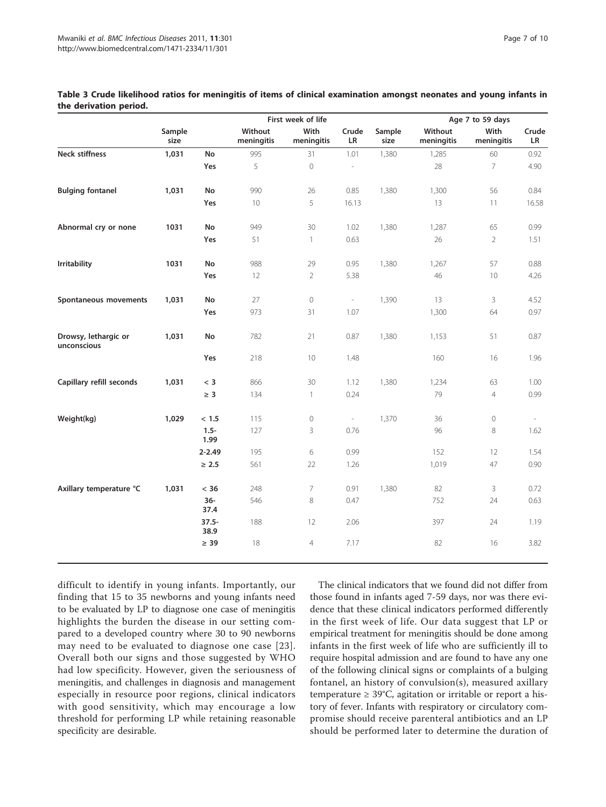|                                     | First week of life |                  |                       |                    |                          | Age 7 to 59 days |                       |                    |                          |
|-------------------------------------|--------------------|------------------|-----------------------|--------------------|--------------------------|------------------|-----------------------|--------------------|--------------------------|
|                                     | Sample<br>size     |                  | Without<br>meningitis | With<br>meningitis | Crude<br>LR              | Sample<br>size   | Without<br>meningitis | With<br>meningitis | Crude<br>LR              |
| Neck stiffness                      | 1,031              | No               | 995                   | 31                 | 1.01                     | 1,380            | 1,285                 | 60                 | 0.92                     |
|                                     |                    | Yes              | 5                     | $\circ$            | $\overline{\phantom{a}}$ |                  | 28                    | 7                  | 4.90                     |
| <b>Bulging fontanel</b>             | 1,031              | ${\sf No}$       | 990                   | 26                 | 0.85                     | 1,380            | 1,300                 | 56                 | 0.84                     |
|                                     |                    | Yes              | $10$                  | 5                  | 16.13                    |                  | 13                    | $11$               | 16.58                    |
| Abnormal cry or none                | 1031               | No               | 949                   | 30                 | 1.02                     | 1,380            | 1,287                 | 65                 | 0.99                     |
|                                     |                    | Yes              | 51                    | $\mathbf{1}$       | 0.63                     |                  | 26                    | $\overline{2}$     | 1.51                     |
| <b>Irritability</b>                 | 1031               | No               | 988                   | 29                 | 0.95                     | 1,380            | 1,267                 | 57                 | 0.88                     |
|                                     |                    | Yes              | 12                    | $\overline{2}$     | 5.38                     |                  | 46                    | 10                 | 4.26                     |
| Spontaneous movements               | 1,031              | No               | 27                    | $\circ$            | $\sim$                   | 1,390            | 13                    | 3                  | 4.52                     |
|                                     |                    | Yes              | 973                   | 31                 | 1.07                     |                  | 1,300                 | 64                 | 0.97                     |
| Drowsy, lethargic or<br>unconscious | 1,031              | No               | 782                   | 21                 | 0.87                     | 1,380            | 1,153                 | 51                 | 0.87                     |
|                                     |                    | Yes              | 218                   | 10                 | 1.48                     |                  | 160                   | 16                 | 1.96                     |
| Capillary refill seconds            | 1,031              | $<\,3$           | 866                   | 30                 | 1.12                     | 1,380            | 1,234                 | 63                 | 1.00                     |
|                                     |                    | $\geq 3$         | 134                   | $\overline{1}$     | 0.24                     |                  | 79                    | $\overline{4}$     | 0.99                     |
| Weight(kg)                          | 1,029              | < 1.5            | 115                   | $\mathbb O$        | $\sim$                   | 1,370            | 36                    | $\mathbb O$        | $\overline{\phantom{a}}$ |
|                                     |                    | $1.5 -$<br>1.99  | 127                   | 3                  | 0.76                     |                  | 96                    | 8                  | 1.62                     |
|                                     |                    | $2 - 2.49$       | 195                   | 6                  | 0.99                     |                  | 152                   | 12                 | 1.54                     |
|                                     |                    | $\geq 2.5$       | 561                   | 22                 | 1.26                     |                  | 1,019                 | 47                 | 0.90                     |
| Axillary temperature °C             | 1,031              | $< 36$           | 248                   | $\overline{7}$     | 0.91                     | 1,380            | 82                    | 3                  | 0.72                     |
|                                     |                    | $36-$<br>37.4    | 546                   | $\,8\,$            | 0.47                     |                  | 752                   | 24                 | 0.63                     |
|                                     |                    | $37.5 -$<br>38.9 | 188                   | 12                 | 2.06                     |                  | 397                   | 24                 | 1.19                     |
|                                     |                    | $\geq 39$        | 18                    | $\overline{4}$     | 7.17                     |                  | 82                    | 16                 | 3.82                     |

### <span id="page-6-0"></span>Table 3 Crude likelihood ratios for meningitis of items of clinical examination amongst neonates and young infants in the derivation period.

difficult to identify in young infants. Importantly, our finding that 15 to 35 newborns and young infants need to be evaluated by LP to diagnose one case of meningitis highlights the burden the disease in our setting compared to a developed country where 30 to 90 newborns may need to be evaluated to diagnose one case [[23\]](#page-9-0). Overall both our signs and those suggested by WHO had low specificity. However, given the seriousness of meningitis, and challenges in diagnosis and management especially in resource poor regions, clinical indicators with good sensitivity, which may encourage a low threshold for performing LP while retaining reasonable specificity are desirable.

The clinical indicators that we found did not differ from those found in infants aged 7-59 days, nor was there evidence that these clinical indicators performed differently in the first week of life. Our data suggest that LP or empirical treatment for meningitis should be done among infants in the first week of life who are sufficiently ill to require hospital admission and are found to have any one of the following clinical signs or complaints of a bulging fontanel, an history of convulsion(s), measured axillary temperature  $\geq 39^{\circ}$ C, agitation or irritable or report a history of fever. Infants with respiratory or circulatory compromise should receive parenteral antibiotics and an LP should be performed later to determine the duration of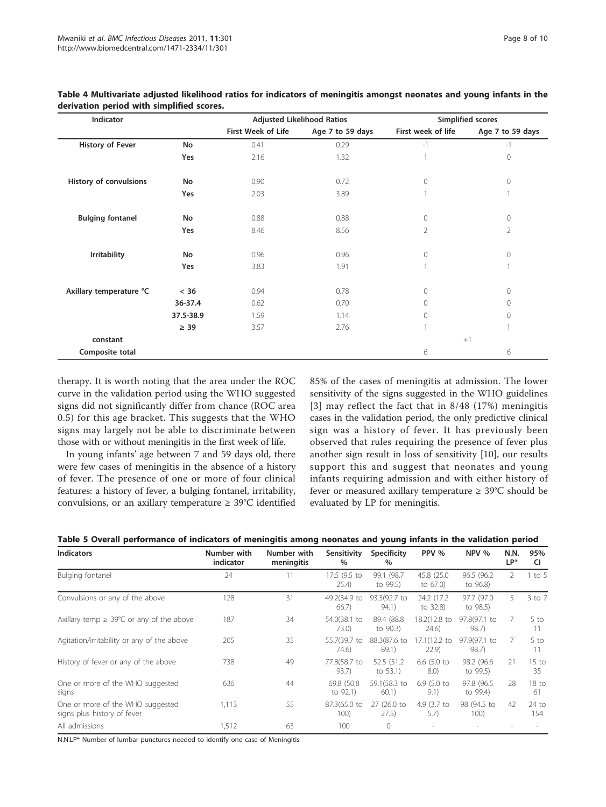| Indicator               |           |                    | <b>Adjusted Likelihood Ratios</b> | <b>Simplified scores</b> |                  |  |  |
|-------------------------|-----------|--------------------|-----------------------------------|--------------------------|------------------|--|--|
|                         |           | First Week of Life | Age 7 to 59 days                  | First week of life       | Age 7 to 59 days |  |  |
| History of Fever        | No        | 0.41               | 0.29                              | $-1$                     | $-1$             |  |  |
|                         | Yes       | 2.16               | 1.32                              |                          | $\circ$          |  |  |
| History of convulsions  | No        | 0.90               | 0.72                              | 0                        | $\circ$          |  |  |
|                         | Yes       | 2.03               | 3.89                              |                          |                  |  |  |
| <b>Bulging fontanel</b> | No        | 0.88               | 0.88                              | 0                        | $\circ$          |  |  |
|                         | Yes       | 8.46               | 8.56                              | 2                        | $\overline{2}$   |  |  |
| <b>Irritability</b>     | No        | 0.96               | 0.96                              | 0                        | $\circ$          |  |  |
|                         | Yes       | 3.83               | 1.91                              |                          |                  |  |  |
| Axillary temperature °C | $<$ 36    | 0.94               | 0.78                              | 0                        | $\circ$          |  |  |
|                         | 36-37.4   | 0.62               | 0.70                              | 0                        | $\circ$          |  |  |
|                         | 37.5-38.9 | 1.59               | 1.14                              | 0                        | $\circ$          |  |  |
|                         | $\geq 39$ | 3.57               | 2.76                              |                          |                  |  |  |
| constant                |           |                    |                                   | $+1$                     |                  |  |  |
| Composite total         |           |                    |                                   | 6                        | 6                |  |  |

<span id="page-7-0"></span>Table 4 Multivariate adjusted likelihood ratios for indicators of meningitis amongst neonates and young infants in the derivation period with simplified scores.

therapy. It is worth noting that the area under the ROC curve in the validation period using the WHO suggested signs did not significantly differ from chance (ROC area 0.5) for this age bracket. This suggests that the WHO signs may largely not be able to discriminate between those with or without meningitis in the first week of life.

In young infants' age between 7 and 59 days old, there were few cases of meningitis in the absence of a history of fever. The presence of one or more of four clinical features: a history of fever, a bulging fontanel, irritability, convulsions, or an axillary temperature  $\geq 39^{\circ}$ C identified 85% of the cases of meningitis at admission. The lower sensitivity of the signs suggested in the WHO guidelines [[3](#page-8-0)] may reflect the fact that in 8/48 (17%) meningitis cases in the validation period, the only predictive clinical sign was a history of fever. It has previously been observed that rules requiring the presence of fever plus another sign result in loss of sensitivity [\[10](#page-9-0)], our results support this and suggest that neonates and young infants requiring admission and with either history of fever or measured axillary temperature  $\geq 39^{\circ}$ C should be evaluated by LP for meningitis.

| <b>Indicators</b>                                               | Number with<br>indicator | Number with<br>meningitis | Sensitivity<br>$\%$     | <b>Specificity</b><br>$\%$ | PPV %                    | NPV %                   | N.N.<br>$LP^*$ | 95%<br><b>CI</b> |
|-----------------------------------------------------------------|--------------------------|---------------------------|-------------------------|----------------------------|--------------------------|-------------------------|----------------|------------------|
| Bulging fontanel                                                | 24                       |                           | 17.5 (9.5 to<br>25.4)   | 99.1 (98.7<br>to 99.5)     | 45.8 (25.0)<br>to 67.0)  | 96.5 (96.2)<br>to 96.8) | 2              | to 5             |
| Convulsions or any of the above                                 | 128                      | 31                        | 49.2(34.9 to<br>66.7    | 93.3(92.7 to<br>94.1)      | 24.2 (17.2)<br>to 32.8)  | 97.7 (97.0)<br>to 98.5) | 5.             | $3$ to $7$       |
| Axillary temp $\geq 39^{\circ}$ C or any of the above           | 187                      | 34                        | 54.0(38.1 to<br>73.0)   | 89.4 (88.8)<br>to 90.3)    | 18.2(12.8 to<br>24.6)    | 97.8(97.1 to<br>98.7    |                | $5$ to           |
| Agitation/irritability or any of the above                      | 205                      | 35                        | 55.7(39.7 to<br>74.6)   | 88.3(87.6 to<br>89.1)      | 17.1(12.2 to<br>22.9     | 97.9(97.1 to<br>98.7    |                | $5$ to           |
| History of fever or any of the above                            | 738                      | 49                        | 77.8(58.7 to<br>93.7)   | 52.5 (51.2)<br>to $53.1$ ) | 6.6 $(5.0 t)$<br>8.0)    | 98.2 (96.6)<br>to 99.5) | 21             | $15$ to<br>35    |
| One or more of the WHO suggested<br>signs                       | 636                      | 44                        | 69.8 (50.8)<br>to 92.1) | 59.1(58.3 to<br>60.1)      | 6.9 $(5.0 t)$<br>9.1)    | 97.8 (96.5)<br>to 99.4) | 28             | 18 to<br>61      |
| One or more of the WHO suggested<br>signs plus history of fever | 1.113                    | 55                        | 87.3(65.0 to<br>100)    | 27 (26.0 to<br>27.5)       | 4.9 (3.7 to<br>5.7       | 98 (94.5 to<br>100)     | 42             | $24$ to<br>154   |
| All admissions                                                  | 1,512                    | 63                        | 100                     | 0                          | $\overline{\phantom{a}}$ |                         |                |                  |

N.N.LP\* Number of lumbar punctures needed to identify one case of Meningitis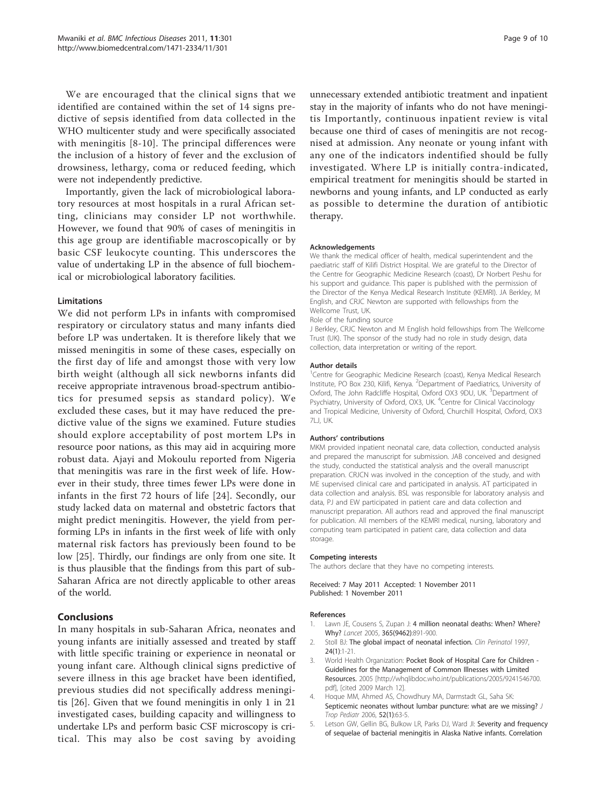<span id="page-8-0"></span>We are encouraged that the clinical signs that we identified are contained within the set of 14 signs predictive of sepsis identified from data collected in the WHO multicenter study and were specifically associated with meningitis [[8-10\]](#page-9-0). The principal differences were the inclusion of a history of fever and the exclusion of drowsiness, lethargy, coma or reduced feeding, which were not independently predictive.

Importantly, given the lack of microbiological laboratory resources at most hospitals in a rural African setting, clinicians may consider LP not worthwhile. However, we found that 90% of cases of meningitis in this age group are identifiable macroscopically or by basic CSF leukocyte counting. This underscores the value of undertaking LP in the absence of full biochemical or microbiological laboratory facilities.

#### Limitations

We did not perform LPs in infants with compromised respiratory or circulatory status and many infants died before LP was undertaken. It is therefore likely that we missed meningitis in some of these cases, especially on the first day of life and amongst those with very low birth weight (although all sick newborns infants did receive appropriate intravenous broad-spectrum antibiotics for presumed sepsis as standard policy). We excluded these cases, but it may have reduced the predictive value of the signs we examined. Future studies should explore acceptability of post mortem LPs in resource poor nations, as this may aid in acquiring more robust data. Ajayi and Mokoulu reported from Nigeria that meningitis was rare in the first week of life. However in their study, three times fewer LPs were done in infants in the first 72 hours of life [\[24\]](#page-9-0). Secondly, our study lacked data on maternal and obstetric factors that might predict meningitis. However, the yield from performing LPs in infants in the first week of life with only maternal risk factors has previously been found to be low [[25\]](#page-9-0). Thirdly, our findings are only from one site. It is thus plausible that the findings from this part of sub-Saharan Africa are not directly applicable to other areas of the world.

#### Conclusions

In many hospitals in sub-Saharan Africa, neonates and young infants are initially assessed and treated by staff with little specific training or experience in neonatal or young infant care. Although clinical signs predictive of severe illness in this age bracket have been identified, previous studies did not specifically address meningitis [[26\]](#page-9-0). Given that we found meningitis in only 1 in 21 investigated cases, building capacity and willingness to undertake LPs and perform basic CSF microscopy is critical. This may also be cost saving by avoiding

unnecessary extended antibiotic treatment and inpatient stay in the majority of infants who do not have meningitis Importantly, continuous inpatient review is vital because one third of cases of meningitis are not recognised at admission. Any neonate or young infant with any one of the indicators indentified should be fully investigated. Where LP is initially contra-indicated, empirical treatment for meningitis should be started in newborns and young infants, and LP conducted as early as possible to determine the duration of antibiotic therapy.

#### Acknowledgements

We thank the medical officer of health, medical superintendent and the paediatric staff of Kilifi District Hospital. We are grateful to the Director of the Centre for Geographic Medicine Research (coast), Dr Norbert Peshu for his support and guidance. This paper is published with the permission of the Director of the Kenya Medical Research Institute (KEMRI). JA Berkley, M English, and CRJC Newton are supported with fellowships from the Wellcome Trust, UK.

Role of the funding source

J Berkley, CRJC Newton and M English hold fellowships from The Wellcome Trust (UK). The sponsor of the study had no role in study design, data collection, data interpretation or writing of the report.

#### Author details

<sup>1</sup> Centre for Geographic Medicine Research (coast), Kenya Medical Research Institute, PO Box 230, Kilifi, Kenya. <sup>2</sup>Department of Paediatrics, University of Oxford, The John Radcliffe Hospital, Oxford OX3 9DU, UK. <sup>3</sup>Department of Psychiatry, University of Oxford, OX3, UK. <sup>4</sup>Centre for Clinical Vaccinology and Tropical Medicine, University of Oxford, Churchill Hospital, Oxford, OX3 7LJ, UK.

#### Authors' contributions

MKM provided inpatient neonatal care, data collection, conducted analysis and prepared the manuscript for submission. JAB conceived and designed the study, conducted the statistical analysis and the overall manuscript preparation. CRJCN was involved in the conception of the study, and with ME supervised clinical care and participated in analysis. AT participated in data collection and analysis. BSL was responsible for laboratory analysis and data, PJ and EW participated in patient care and data collection and manuscript preparation. All authors read and approved the final manuscript for publication. All members of the KEMRI medical, nursing, laboratory and computing team participated in patient care, data collection and data storage.

#### Competing interests

The authors declare that they have no competing interests.

Received: 7 May 2011 Accepted: 1 November 2011 Published: 1 November 2011

#### References

- 1. Lawn JE, Cousens S, Zupan J: [4 million neonatal deaths: When? Where?](http://www.ncbi.nlm.nih.gov/pubmed/15752534?dopt=Abstract) [Why?](http://www.ncbi.nlm.nih.gov/pubmed/15752534?dopt=Abstract) Lancet 2005, 365(9462):891-900.
- 2. Stoll BJ: [The global impact of neonatal infection.](http://www.ncbi.nlm.nih.gov/pubmed/9099499?dopt=Abstract) Clin Perinatol 1997, 24(1):1-21.
- 3. World Health Organization: Pocket Book of Hospital Care for Children Guidelines for the Management of Common Illnesses with Limited Resources. 2005 [[http://whqlibdoc.who.int/publications/2005/9241546700.](http://whqlibdoc.who.int/publications/2005/9241546700.pdf) [pdf](http://whqlibdoc.who.int/publications/2005/9241546700.pdf)], [cited 2009 March 12].
- 4. Hoque MM, Ahmed AS, Chowdhury MA, Darmstadt GL, Saha SK: [Septicemic neonates without lumbar puncture: what are we missing?](http://www.ncbi.nlm.nih.gov/pubmed/15967772?dopt=Abstract) J Trop Pediatr 2006, 52(1):63-5.
- 5. Letson GW, Gellin BG, Bulkow LR, Parks DJ, Ward JI: [Severity and frequency](http://www.ncbi.nlm.nih.gov/pubmed/1621657?dopt=Abstract) [of sequelae of bacterial meningitis in Alaska Native infants. Correlation](http://www.ncbi.nlm.nih.gov/pubmed/1621657?dopt=Abstract)